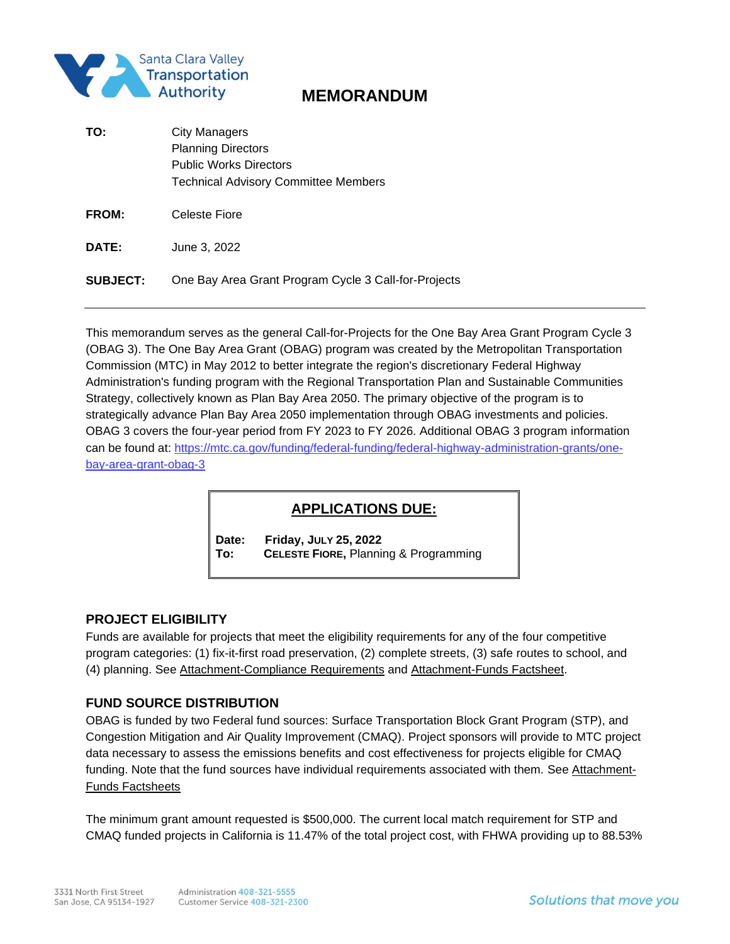

# **MEMORANDUM**

| TO:             | City Managers<br><b>Planning Directors</b><br><b>Public Works Directors</b><br><b>Technical Advisory Committee Members</b> |
|-----------------|----------------------------------------------------------------------------------------------------------------------------|
| FROM:           | Celeste Fiore                                                                                                              |
| DATE:           | June 3, 2022                                                                                                               |
| <b>SUBJECT:</b> | One Bay Area Grant Program Cycle 3 Call-for-Projects                                                                       |

This memorandum serves as the general Call-for-Projects for the One Bay Area Grant Program Cycle 3 (OBAG 3). The One Bay Area Grant (OBAG) program was created by the Metropolitan Transportation Commission (MTC) in May 2012 to better integrate the region's discretionary Federal Highway Administration's funding program with the Regional Transportation Plan and Sustainable Communities Strategy, collectively known as Plan Bay Area 2050. The primary objective of the program is to strategically advance Plan Bay Area 2050 implementation through OBAG investments and policies. OBAG 3 covers the four-year period from FY 2023 to FY 2026. Additional OBAG 3 program information can be found at: [https://mtc.ca.gov/funding/federal-funding/federal-highway-administration-grants/one](https://mtc.ca.gov/funding/federal-funding/federal-highway-administration-grants/one-bay-area-grant-obag-3)[bay-area-grant-obag-3](https://mtc.ca.gov/funding/federal-funding/federal-highway-administration-grants/one-bay-area-grant-obag-3)

# **APPLICATIONS DUE:**

**Date: Friday, JULY 25, 2022 To: CELESTE FIORE,** Planning & Programming

## **PROJECT ELIGIBILITY**

Funds are available for projects that meet the eligibility requirements for any of the four competitive program categories: (1) fix-it-first road preservation, (2) complete streets, (3) safe routes to school, and (4) planning. See Attachment-Compliance Requirements and Attachment-Funds Factsheet.

## **FUND SOURCE DISTRIBUTION**

OBAG is funded by two Federal fund sources: Surface Transportation Block Grant Program (STP), and Congestion Mitigation and Air Quality Improvement (CMAQ). Project sponsors will provide to MTC project data necessary to assess the emissions benefits and cost effectiveness for projects eligible for CMAQ funding. Note that the fund sources have individual requirements associated with them. See Attachment-Funds Factsheets

The minimum grant amount requested is \$500,000. The current local match requirement for STP and CMAQ funded projects in California is 11.47% of the total project cost, with FHWA providing up to 88.53%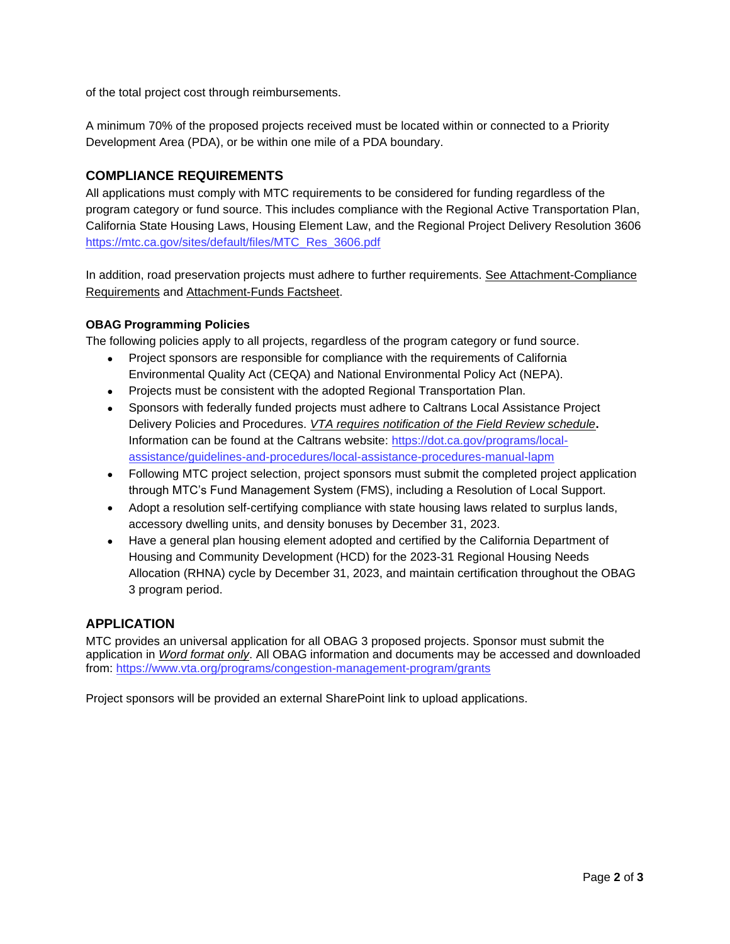of the total project cost through reimbursements.

A minimum 70% of the proposed projects received must be located within or connected to a Priority Development Area (PDA), or be within one mile of a PDA boundary.

## **COMPLIANCE REQUIREMENTS**

All applications must comply with MTC requirements to be considered for funding regardless of the program category or fund source. This includes compliance with the Regional Active Transportation Plan, California State Housing Laws, Housing Element Law, and the Regional Project Delivery Resolution 3606 [https://mtc.ca.gov/sites/default/files/MTC\\_Res\\_3606.pdf](https://mtc.ca.gov/sites/default/files/MTC_Res_3606.pdf)

In addition, road preservation projects must adhere to further requirements. See Attachment-Compliance Requirements and Attachment-Funds Factsheet.

#### **OBAG Programming Policies**

The following policies apply to all projects, regardless of the program category or fund source.

- Project sponsors are responsible for compliance with the requirements of California Environmental Quality Act (CEQA) and National Environmental Policy Act (NEPA).
- Projects must be consistent with the adopted Regional Transportation Plan.
- Sponsors with federally funded projects must adhere to Caltrans Local Assistance Project Delivery Policies and Procedures. *VTA requires notification of the Field Review schedule***.** Information can be found at the Caltrans website: [https://dot.ca.gov/programs/local](https://dot.ca.gov/programs/local-assistance/guidelines-and-procedures/local-assistance-procedures-manual-lapm)[assistance/guidelines-and-procedures/local-assistance-procedures-manual-lapm](https://dot.ca.gov/programs/local-assistance/guidelines-and-procedures/local-assistance-procedures-manual-lapm)
- Following MTC project selection, project sponsors must submit the completed project application through MTC's Fund Management System (FMS), including a Resolution of Local Support.
- Adopt a resolution self-certifying compliance with state housing laws related to surplus lands, accessory dwelling units, and density bonuses by December 31, 2023.
- Have a general plan housing element adopted and certified by the California Department of Housing and Community Development (HCD) for the 2023-31 Regional Housing Needs Allocation (RHNA) cycle by December 31, 2023, and maintain certification throughout the OBAG 3 program period.

#### **APPLICATION**

MTC provides an universal application for all OBAG 3 proposed projects. Sponsor must submit the application in *Word format only*. All OBAG information and documents may be accessed and downloaded from: <https://www.vta.org/programs/congestion-management-program/grants>

Project sponsors will be provided an external SharePoint link to upload applications.